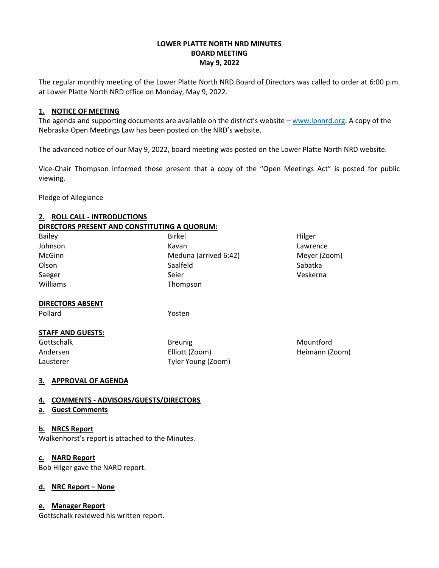## **LOWER PLATTE NORTH NRD MINUTES BOARD MEETING May 9, 2022**

The regular monthly meeting of the Lower Platte North NRD Board of Directors was called to order at 6:00 p.m. at Lower Platte North NRD office on Monday, May 9, 2022.

### **1. NOTICE OF MEETING**

The agenda and supporting documents are available on the district's website - [www.lpnnrd.org.](http://www.lpnnrd.org/) A copy of the Nebraska Open Meetings Law has been posted on the NRD's website.

The advanced notice of our May 9, 2022, board meeting was posted on the Lower Platte North NRD website.

Vice-Chair Thompson informed those present that a copy of the "Open Meetings Act" is posted for public viewing.

Pledge of Allegiance

## **2. ROLL CALL - INTRODUCTIONS DIRECTORS PRESENT AND CONSTITUTING A QUORUM:**

- Bailey **Bailey Birkel** Birkel **Bailey Hilger** Johnson **Kavan** Kavan Kavan Kavan Kawan Kawan Kawan Kawan Kawan Kawan Kaman Kawan Kawan Kawan Kawan Kawan Kawan McGinn **Meginn** Meduna (arrived 6:42) Meyer (Zoom) Olson Sabatka Saalfeld Sabatka Sabatka Sabatka Sabatka Sabatka Sabatka Sabatka Sabatka Sabatka Sabatka Sabatka Saeger **Seier Seier Seier Seier Seier Seier Seier** Saeger veskerna Williams **Thompson** 
	-

# **DIRECTORS ABSENT**

Pollard Yosten

# **STAFF AND GUESTS:**

Gottschalk **Breunig** Breunig **Breunig** Mountford

Andersen Elliott (Zoom) Heimann (Zoom) Lausterer Tyler Young (Zoom)

# **3. APPROVAL OF AGENDA**

# **4. COMMENTS - ADVISORS/GUESTS/DIRECTORS**

**a. Guest Comments**

# **b. NRCS Report**

Walkenhorst's report is attached to the Minutes.

### **c. NARD Report**

Bob Hilger gave the NARD report.

# **d. NRC Report – None**

### **e. Manager Report**

Gottschalk reviewed his written report.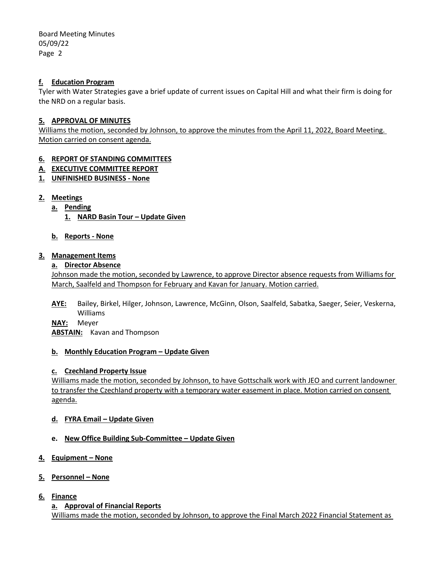## **f. Education Program**

Tyler with Water Strategies gave a brief update of current issues on Capital Hill and what their firm is doing for the NRD on a regular basis.

## **5. APPROVAL OF MINUTES**

Williams the motion, seconded by Johnson, to approve the minutes from the April 11, 2022, Board Meeting. Motion carried on consent agenda.

## **6. REPORT OF STANDING COMMITTEES**

- **A**. **EXECUTIVE COMMITTEE REPORT**
- **1. UNFINISHED BUSINESS - None**

## **2. Meetings**

- **a. Pending**
	- **1. NARD Basin Tour – Update Given**

## **b. Reports - None**

### **3. Management Items**

## **a. Director Absence**

Johnson made the motion, seconded by Lawrence, to approve Director absence requests from Williams for March, Saalfeld and Thompson for February and Kavan for January. Motion carried.

**AYE:** Bailey, Birkel, Hilger, Johnson, Lawrence, McGinn, Olson, Saalfeld, Sabatka, Saeger, Seier, Veskerna, Williams

**NAY:** Meyer

**ABSTAIN:** Kavan and Thompson

### **b. Monthly Education Program – Update Given**

### **c. Czechland Property Issue**

Williams made the motion, seconded by Johnson, to have Gottschalk work with JEO and current landowner to transfer the Czechland property with a temporary water easement in place. Motion carried on consent agenda.

### **d. FYRA Email – Update Given**

# **e. New Office Building Sub-Committee – Update Given**

**4. Equipment – None**

### **5. Personnel – None**

**6. Finance**

### **a. Approval of Financial Reports**

Williams made the motion, seconded by Johnson, to approve the Final March 2022 Financial Statement as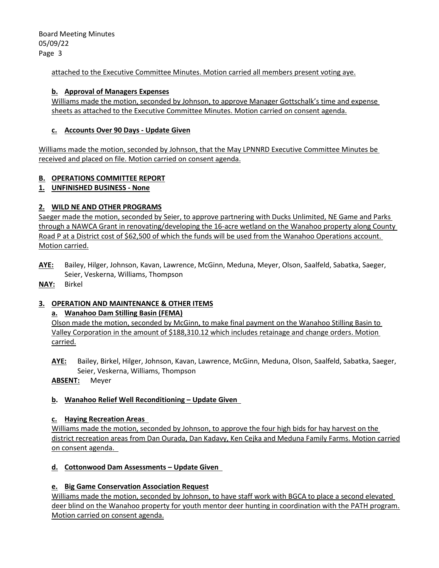attached to the Executive Committee Minutes. Motion carried all members present voting aye.

### **b. Approval of Managers Expenses**

Williams made the motion, seconded by Johnson, to approve Manager Gottschalk's time and expense sheets as attached to the Executive Committee Minutes. Motion carried on consent agenda.

## **c. Accounts Over 90 Days - Update Given**

Williams made the motion, seconded by Johnson, that the May LPNNRD Executive Committee Minutes be received and placed on file. Motion carried on consent agenda.

# **B. OPERATIONS COMMITTEE REPORT**

**1. UNFINISHED BUSINESS - None**

# **2. WILD NE AND OTHER PROGRAMS**

Saeger made the motion, seconded by Seier, to approve partnering with Ducks Unlimited, NE Game and Parks through a NAWCA Grant in renovating/developing the 16-acre wetland on the Wanahoo property along County Road P at a District cost of \$62,500 of which the funds will be used from the Wanahoo Operations account. Motion carried.

- **AYE:** Bailey, Hilger, Johnson, Kavan, Lawrence, McGinn, Meduna, Meyer, Olson, Saalfeld, Sabatka, Saeger, Seier, Veskerna, Williams, Thompson
- **NAY:** Birkel

# **3. OPERATION AND MAINTENANCE & OTHER ITEMS**

# **a. Wanahoo Dam Stilling Basin (FEMA)**

Olson made the motion, seconded by McGinn, to make final payment on the Wanahoo Stilling Basin to Valley Corporation in the amount of \$188,310.12 which includes retainage and change orders. Motion carried.

**AYE:** Bailey, Birkel, Hilger, Johnson, Kavan, Lawrence, McGinn, Meduna, Olson, Saalfeld, Sabatka, Saeger, Seier, Veskerna, Williams, Thompson

**ABSENT:** Meyer

# **b. Wanahoo Relief Well Reconditioning – Update Given**

### **c. Haying Recreation Areas**

Williams made the motion, seconded by Johnson, to approve the four high bids for hay harvest on the district recreation areas from Dan Ourada, Dan Kadavy, Ken Cejka and Meduna Family Farms. Motion carried on consent agenda.

# **d. Cottonwood Dam Assessments – Update Given**

# **e. Big Game Conservation Association Request**

Williams made the motion, seconded by Johnson, to have staff work with BGCA to place a second elevated deer blind on the Wanahoo property for youth mentor deer hunting in coordination with the PATH program. Motion carried on consent agenda.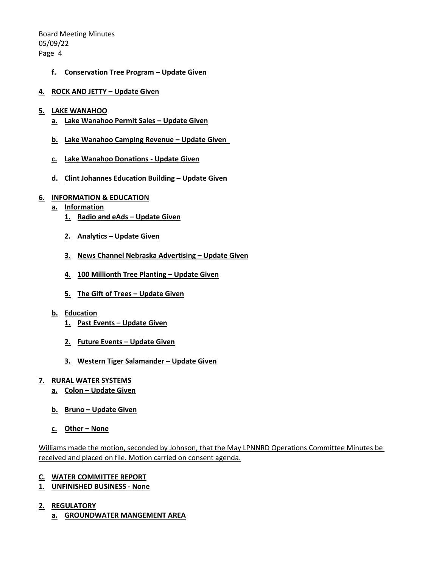## **f. Conservation Tree Program – Update Given**

**4. ROCK AND JETTY – Update Given**

#### **5. LAKE WANAHOO**

- **a. Lake Wanahoo Permit Sales – Update Given**
- **b. Lake Wanahoo Camping Revenue – Update Given**
- **c. Lake Wanahoo Donations - Update Given**
- **d. Clint Johannes Education Building – Update Given**

#### **6. INFORMATION & EDUCATION**

- **a. Information**
	- **1. Radio and eAds – Update Given**
	- **2. Analytics – Update Given**
	- **3. News Channel Nebraska Advertising – Update Given**
	- **4. 100 Millionth Tree Planting – Update Given**
	- **5. The Gift of Trees – Update Given**
- **b. Education**
	- **1. Past Events – Update Given**
	- **2. Future Events – Update Given**
	- **3. Western Tiger Salamander – Update Given**

#### **7. RURAL WATER SYSTEMS**

- **a. Colon – Update Given**
- **b. Bruno – Update Given**
- **c. Other – None**

Williams made the motion, seconded by Johnson, that the May LPNNRD Operations Committee Minutes be received and placed on file. Motion carried on consent agenda.

### **C. WATER COMMITTEE REPORT**

- **1. UNFINISHED BUSINESS - None**
- **2. REGULATORY**
	- **a. GROUNDWATER MANGEMENT AREA**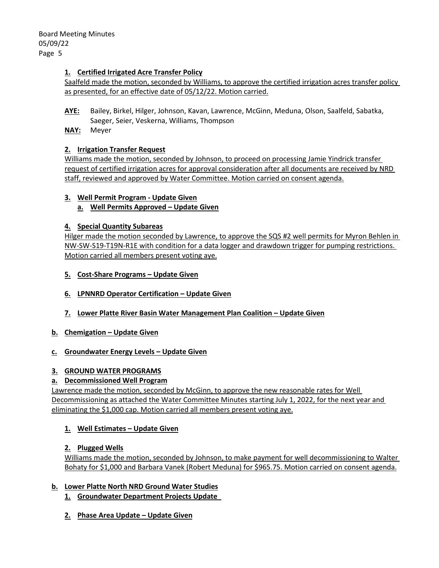## **1. Certified Irrigated Acre Transfer Policy**

Saalfeld made the motion, seconded by Williams, to approve the certified irrigation acres transfer policy as presented, for an effective date of 05/12/22. Motion carried.

- **AYE:** Bailey, Birkel, Hilger, Johnson, Kavan, Lawrence, McGinn, Meduna, Olson, Saalfeld, Sabatka, Saeger, Seier, Veskerna, Williams, Thompson
- **NAY:** Meyer

## **2. Irrigation Transfer Request**

Williams made the motion, seconded by Johnson, to proceed on processing Jamie Yindrick transfer request of certified irrigation acres for approval consideration after all documents are received by NRD staff, reviewed and approved by Water Committee. Motion carried on consent agenda.

## **3. Well Permit Program - Update Given**

**a. Well Permits Approved – Update Given**

### **4. Special Quantity Subareas**

Hilger made the motion seconded by Lawrence, to approve the SQS #2 well permits for Myron Behlen in NW-SW-S19-T19N-R1E with condition for a data logger and drawdown trigger for pumping restrictions. Motion carried all members present voting aye.

- **5. Cost-Share Programs – Update Given**
- **6. LPNNRD Operator Certification – Update Given**
- **7. Lower Platte River Basin Water Management Plan Coalition – Update Given**
- **b. Chemigation – Update Given**

### **c. Groundwater Energy Levels – Update Given**

### **3. GROUND WATER PROGRAMS**

# **a. Decommissioned Well Program**

Lawrence made the motion, seconded by McGinn, to approve the new reasonable rates for Well Decommissioning as attached the Water Committee Minutes starting July 1, 2022, for the next year and eliminating the \$1,000 cap. Motion carried all members present voting aye.

### **1. Well Estimates – Update Given**

### **2. Plugged Wells**

Williams made the motion, seconded by Johnson, to make payment for well decommissioning to Walter Bohaty for \$1,000 and Barbara Vanek (Robert Meduna) for \$965.75. Motion carried on consent agenda.

# **b. Lower Platte North NRD Ground Water Studies**

- **1. Groundwater Department Projects Update**
- **2. Phase Area Update – Update Given**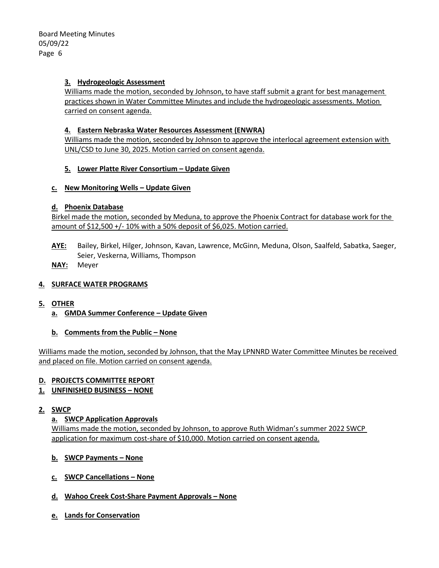## **3. Hydrogeologic Assessment**

Williams made the motion, seconded by Johnson, to have staff submit a grant for best management practices shown in Water Committee Minutes and include the hydrogeologic assessments. Motion carried on consent agenda.

## **4. Eastern Nebraska Water Resources Assessment (ENWRA)**

Williams made the motion, seconded by Johnson to approve the interlocal agreement extension with UNL/CSD to June 30, 2025. Motion carried on consent agenda.

## **5. Lower Platte River Consortium – Update Given**

## **c. New Monitoring Wells – Update Given**

## **d. Phoenix Database**

Birkel made the motion, seconded by Meduna, to approve the Phoenix Contract for database work for the amount of  $$12,500 +/- 10\%$  with a 50% deposit of  $$6,025$ . Motion carried.

- **AYE:** Bailey, Birkel, Hilger, Johnson, Kavan, Lawrence, McGinn, Meduna, Olson, Saalfeld, Sabatka, Saeger, Seier, Veskerna, Williams, Thompson
- **NAY:** Meyer

# **4. SURFACE WATER PROGRAMS**

- **5. OTHER**
	- **a. GMDA Summer Conference – Update Given**
	- **b. Comments from the Public – None**

Williams made the motion, seconded by Johnson, that the May LPNNRD Water Committee Minutes be received and placed on file. Motion carried on consent agenda.

# **D. PROJECTS COMMITTEE REPORT**

**1. UNFINISHED BUSINESS – NONE**

### **2. SWCP**

### **a. SWCP Application Approvals**

Williams made the motion, seconded by Johnson, to approve Ruth Widman's summer 2022 SWCP application for maximum cost-share of \$10,000. Motion carried on consent agenda.

- **b. SWCP Payments – None**
- **c. SWCP Cancellations – None**
- **d. Wahoo Creek Cost-Share Payment Approvals – None**
- **e. Lands for Conservation**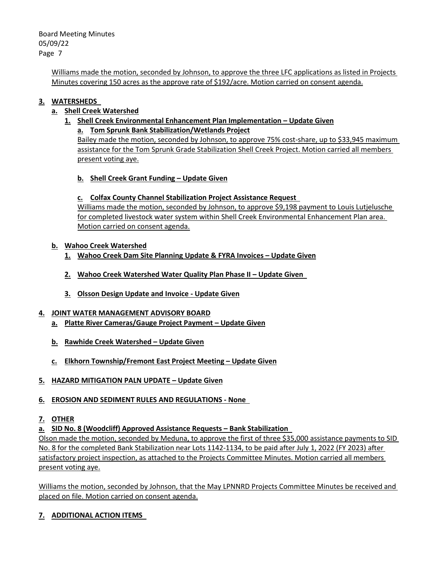> Williams made the motion, seconded by Johnson, to approve the three LFC applications as listed in Projects Minutes covering 150 acres as the approve rate of \$192/acre. Motion carried on consent agenda.

# **3. WATERSHEDS**

# **a. Shell Creek Watershed**

# **1. Shell Creek Environmental Enhancement Plan Implementation – Update Given**

# **a. Tom Sprunk Bank Stabilization/Wetlands Project**

Bailey made the motion, seconded by Johnson, to approve 75% cost-share, up to \$33,945 maximum assistance for the Tom Sprunk Grade Stabilization Shell Creek Project. Motion carried all members present voting aye.

**b. Shell Creek Grant Funding – Update Given**

# **c. Colfax County Channel Stabilization Project Assistance Request**

Williams made the motion, seconded by Johnson, to approve \$9,198 payment to Louis Lutjelusche for completed livestock water system within Shell Creek Environmental Enhancement Plan area. Motion carried on consent agenda.

# **b. Wahoo Creek Watershed**

- **1. Wahoo Creek Dam Site Planning Update & FYRA Invoices – Update Given**
- **2. Wahoo Creek Watershed Water Quality Plan Phase II – Update Given**
- **3. Olsson Design Update and Invoice - Update Given**

# **4. JOINT WATER MANAGEMENT ADVISORY BOARD**

- **a. Platte River Cameras/Gauge Project Payment – Update Given**
- **b. Rawhide Creek Watershed – Update Given**
- **c. Elkhorn Township/Fremont East Project Meeting – Update Given**
- **5. HAZARD MITIGATION PALN UPDATE – Update Given**

# **6. EROSION AND SEDIMENT RULES AND REGULATIONS - None**

# **7. OTHER**

# **a. SID No. 8 (Woodcliff) Approved Assistance Requests – Bank Stabilization**

Olson made the motion, seconded by Meduna, to approve the first of three \$35,000 assistance payments to SID No. 8 for the completed Bank Stabilization near Lots 1142-1134, to be paid after July 1, 2022 (FY 2023) after satisfactory project inspection, as attached to the Projects Committee Minutes. Motion carried all members present voting aye.

Williams the motion, seconded by Johnson, that the May LPNNRD Projects Committee Minutes be received and placed on file. Motion carried on consent agenda.

# **7. ADDITIONAL ACTION ITEMS**